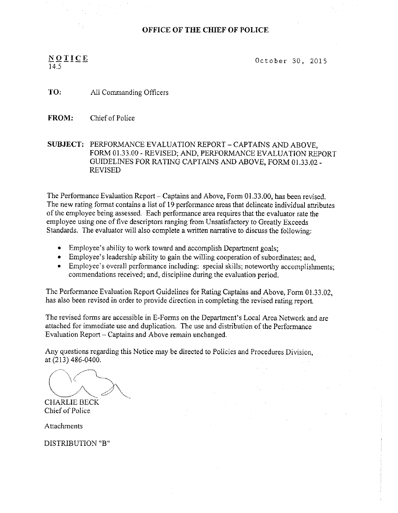## OFFICE OF THE CHIEF OF POLICE

# NOTICE  $14.5$   $\overline{\phantom{0}}$

October 30, 2015

TO: All Commanding Officers

FROM: Chief of Police

SUBJECT: PERFORMANCE EVALUATION REPORT - CAPTAINS AND ABOVE, FORM 01.33.00 - REVISED; AND, PERFORMANCE EVALUATION REPORT GUIDELINES FOR RATING CAPTAINS AND ABOVE, FORM 01.33.02 -**REVISED** 

The Performance Evaluation Report – Captains and Above, Form 01.33.00, has been revised. The new rating format contains a list of 19 performance areas that delineate individual attributes of the emptoyee being assessed. Each performance area requires that the evaluator rate the employee using one of five descriptors ranging from Unsatisfactory to Greatly Exceeds Standards. The evaluator will also complete a written narrative to discuss the following:

- Employee's ability to work toward and accomplish Department goals;
- Employee's leadership ability to gain the willing cooperation of subordinates; and,
- Employee's overall performance including: special skills; noteworthy accomplishments; commendations received; and, discipline during the evaluation period.

The Performance Evaluation Report Guidelines for Rating Captains and Above, Form 01.33.02, has also been revised in order to provide direction in completing the revised rating report.

The revised forms are accessible in E-Forms on the Department's Local Area Network and are attached for immediate use and duplication. The use and distribution of the Performance Evaluatian Report —Captains and Above remain unchanged.

Any questions regarding this Notice may be directed to Policies and Procedures Division, at (2I3) 486-0400.

 $\backslash$  ( CHARLIE BECK

Chief of Police

**Attachments** 

DISTRIBUTION "B"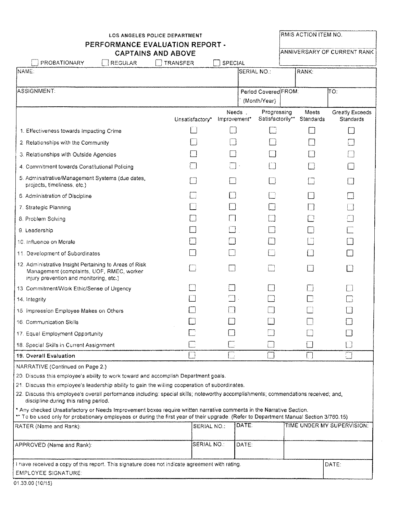| <b>LOS ANGELES POLICE DEPARTMENT</b>                                                                                                                                                                                                                           |  |                 |                        |                                 | RMIS ACTION ITEM NO. |                              |
|----------------------------------------------------------------------------------------------------------------------------------------------------------------------------------------------------------------------------------------------------------------|--|-----------------|------------------------|---------------------------------|----------------------|------------------------------|
| PERFORMANCE EVALUATION REPORT -<br><b>CAPTAINS AND ABOVE</b>                                                                                                                                                                                                   |  |                 |                        |                                 |                      | ANNIVERSARY OF CURRENT RANK  |
| PROBATIONARY<br><b>REGULAR</b>                                                                                                                                                                                                                                 |  | <b>TRANSFER</b> | <b>SPECIAL</b>         |                                 |                      |                              |
| NAME:                                                                                                                                                                                                                                                          |  |                 |                        | SERIAL NO.:                     | <b>RANK:</b>         |                              |
|                                                                                                                                                                                                                                                                |  |                 |                        |                                 |                      |                              |
| ASSIGNMENT:                                                                                                                                                                                                                                                    |  |                 |                        | Period Covered FROM:            |                      | ITO:                         |
|                                                                                                                                                                                                                                                                |  |                 |                        | (Month/Year)                    |                      |                              |
|                                                                                                                                                                                                                                                                |  | Unsatisfactory* | Needs.<br>Improvement* | Progressing<br>Satisfactorily** | Meets<br>Standards   | Greatly Exceeds<br>Standards |
| 1. Effectiveness towards Impacting Crime                                                                                                                                                                                                                       |  |                 |                        |                                 |                      |                              |
| 2. Relationships with the Community                                                                                                                                                                                                                            |  |                 |                        |                                 |                      |                              |
| 3. Relationships with Outside Agencies                                                                                                                                                                                                                         |  |                 |                        |                                 |                      |                              |
| 4. Commitment towards Constitutional Policing                                                                                                                                                                                                                  |  |                 |                        |                                 |                      |                              |
| 5. Administrative/Management Systems (due dates,<br>projects, timeliness, etc.)                                                                                                                                                                                |  |                 |                        |                                 |                      |                              |
| 6. Administration of Discipline                                                                                                                                                                                                                                |  |                 |                        |                                 |                      |                              |
| 7. Strategic Planning                                                                                                                                                                                                                                          |  |                 |                        |                                 |                      |                              |
| 8. Problem Solving                                                                                                                                                                                                                                             |  |                 |                        |                                 |                      |                              |
| 9. Leadership                                                                                                                                                                                                                                                  |  |                 |                        |                                 |                      |                              |
| 10. Influence on Morale                                                                                                                                                                                                                                        |  |                 |                        |                                 |                      |                              |
| 11. Development of Subordinates                                                                                                                                                                                                                                |  |                 |                        |                                 |                      |                              |
| 12. Administrative Insight Pertaining to Areas of Risk<br>Management (complaints, UOF, RMEC, worker<br>injury prevention and monitoring, etc.)                                                                                                                 |  |                 |                        |                                 |                      |                              |
| 13 Commitment/Work Ethic/Sense of Urgency                                                                                                                                                                                                                      |  |                 |                        |                                 |                      |                              |
| 14. Integrity                                                                                                                                                                                                                                                  |  |                 |                        |                                 |                      |                              |
| 15. Impression Employee Makes on Others                                                                                                                                                                                                                        |  |                 |                        |                                 |                      |                              |
| 16. Communication Skills                                                                                                                                                                                                                                       |  |                 |                        |                                 |                      |                              |
| 17. Equal Employment Opportunity                                                                                                                                                                                                                               |  |                 |                        |                                 |                      |                              |
| 18. Special Skills in Current Assignment                                                                                                                                                                                                                       |  |                 |                        |                                 |                      |                              |
| <b>19. Overall Evaluation</b>                                                                                                                                                                                                                                  |  |                 |                        |                                 |                      | $\Box$                       |
| NARRATIVE (Continued on Page 2.)                                                                                                                                                                                                                               |  |                 |                        |                                 |                      |                              |
| 20. Discuss this employee's ability to work toward and accomplish Department goals.                                                                                                                                                                            |  |                 |                        |                                 |                      |                              |
| 21. Discuss this employee's leadership ability to gain the willing cooperation of subordinates.                                                                                                                                                                |  |                 |                        |                                 |                      |                              |
| 22. Discuss this employee's overall performance including: special skills; noteworthy accomplishments; commendations received; and,<br>discipline during this rating period.                                                                                   |  |                 |                        |                                 |                      |                              |
| * Any checked Unsatisfactory or Needs Improvement boxes require written narrative comments in the Narrative Section,<br>** To be used only for probationary employees or during the first year of their upgrade. (Refer to Department Manual Section 3/760.15) |  |                 |                        |                                 |                      |                              |
| RATER (Name and Rank):                                                                                                                                                                                                                                         |  | SERIAL NO.:     |                        | DATE.                           |                      | TIME UNDER MY SUPERVISION.   |
| APPROVED (Name and Rank):                                                                                                                                                                                                                                      |  | SERIAL NO.:     |                        | DATE.                           |                      |                              |
| I have received a copy of this report. This signature does not indicate agreement with rating.                                                                                                                                                                 |  |                 |                        |                                 |                      | DATE:                        |
| <b>EMPLOYEE SIGNATURE:</b>                                                                                                                                                                                                                                     |  |                 |                        |                                 |                      |                              |
| 01.33.00 (10/15)                                                                                                                                                                                                                                               |  |                 |                        |                                 |                      |                              |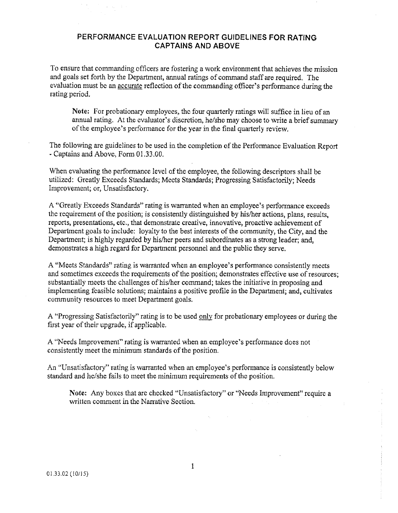#### PERFORMANCE EVALUATION REPORT GUIDELINES FOR RATING **CAPTAINS AND ABOVE**

To ensure that commanding officers are fostering a work environment that achieves the mission and goals set forth by the Department, annual ratings of command staff are required. The evaluation must be an accurate reflection of the commanding officer's performance during the rating period.

Note: For probationary employees, the four quarterly ratings will suffice in lieu of an annual rating. At the evaluator's discretion, he/she may choose to write a brief summary of the employee's performance for the year in the final quarterly review.

The following are guidelines to be used in the completion of the Performance Evaluation Report - Captains and Above, Form 01.33.00.

When evaluating the performance level of the employee, the following descriptors shall be utilized: Greatly Exceeds Standards; Meets Standards; Progressing Satisfactorily; Needs Improvement; or, Unsatisfactory.

A "Greatly Exceeds Standards" rating is warranted when an employee's performance exceeds the requirement of the position; is consistently distinguished by his/her actions, plans, results, reports, presentations, etc., that demonstrate creative, innovative, proactive achievement of Department goals to include: loyalty to the best interests of the community, the City, and the Department; is highly regarded by his/her peers and subordinates as a strong leader; and, demonstrates a high regard for Department personnel and the public they serve.

A "Meets Standards" rating is warranted when an employee's performance consistently meets and sometimes exceeds the requirements of the position; demonstrates effective use of resources; substantially meets the challenges of his/her command; takes the initiative in proposing and implementing feasible solutions; maintains a positive profile in the Department; and, cultivates community resources to meet Department goals.

A "Progressing Satisfactorily" rating is to be used only for probationary employees or during the first year of their upgrade, if applicable.

A "Needs Improvement" rating is warranted when an employee's performance does not consistently meet the minimum standards of the position.

An "Unsatisfactory" rating is warranted when an employee's performance is consistently below standard and he/she fails to meet the minimum requirements of the position.

Note: Any boxes that are checked "Unsatisfactory" or "Needs Improvement" require a written comment in the Narrative Section.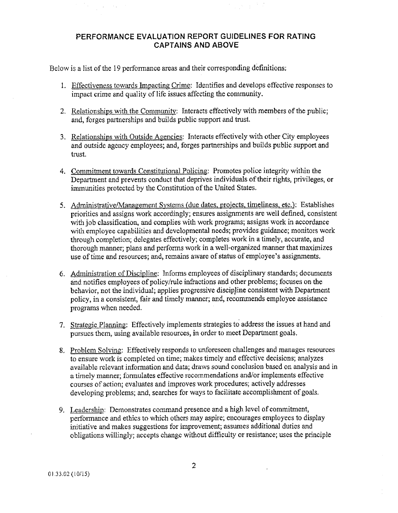# PERFORMANCE EVALUATION REPORT GUIDELINES FOR RATING **CAPTAINS AND ABOVE**

Below is a list of the 19 performance areas and their corresponding definitions:

- 1. Effectiveness towards Impacting Crime: Identifies and develops effective responses to impact crime and quality of life issues affecting the community.
- 2. Relationships with the Community: Interacts effectively with members of the public; and, forges partnerships and builds public support and trust.
- 3. Relationships with Outside Agencies: Interacts effectively with other City employees and outside agency employees; and, forges partnerships and builds public support and trust.
- 4. Commitment towards Constitutional Policing: Promotes police integrity within the Department and prevents conduct that deprives individuals of their rights, privileges, or immunities protected by the Constitution of the United States.
- 5. Administrative/Management Systems (due dates, projects, timeliness, etc.): Establishes priorities and assigns work accordingly; ensures assignments are well defined, consistent with job classification, and complies with work programs; assigns work in accordance with employee capabilities and developmental needs; provides guidance; monitors work through completion; delegates effectively; completes work in a timely, accurate, and thorough manner; plans and performs work in a well-organized manner that maximizes use of time and resources; and, remains aware of status of employee's assignments.
- 6. Administration of Discipline: Informs employees of disciplinary standards; documents and notifies employees of policy/rule infractions and other problems; focuses on the behavior, not the individual; applies progressive discipline consistent with Department policy, in a consistent, fair and timely manner; and, recommends employee assistance programs when needed.
- 7. Strategic Planning: Effectively implements strategies to address the issues at hand and pursues them, using available resources, in order to meet Department goals.
- 8. Problem Solving: Effectively responds to unforeseen challenges and manages resources to ensure work is completed on time; makes timely and effective decisions; analyzes available relevant information and data; draws sound conclusion based on analysis and in a timely manner; formulates effective recommendations and/or implements effective courses of action; evaluates and improves work procedures; actively addresses developing problems; and, searches for ways to facilitate accomplishment of goals.
- 9. Leadership: Demonstrates command presence and a high level of commitment, performance and ethics to which others may aspire; encourages employees to display initiative and makes suggestions for improvement; assumes additional duties and obligations willingly; accepts change without difficulty or resistance; uses the principle